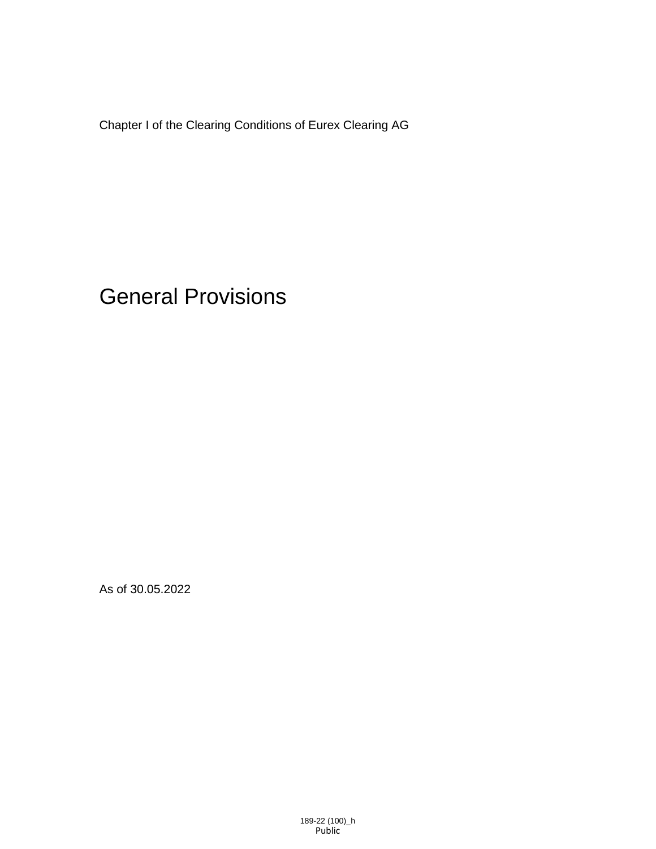Chapter I of the Clearing Conditions of Eurex Clearing AG

General Provisions

As of 30.05.2022